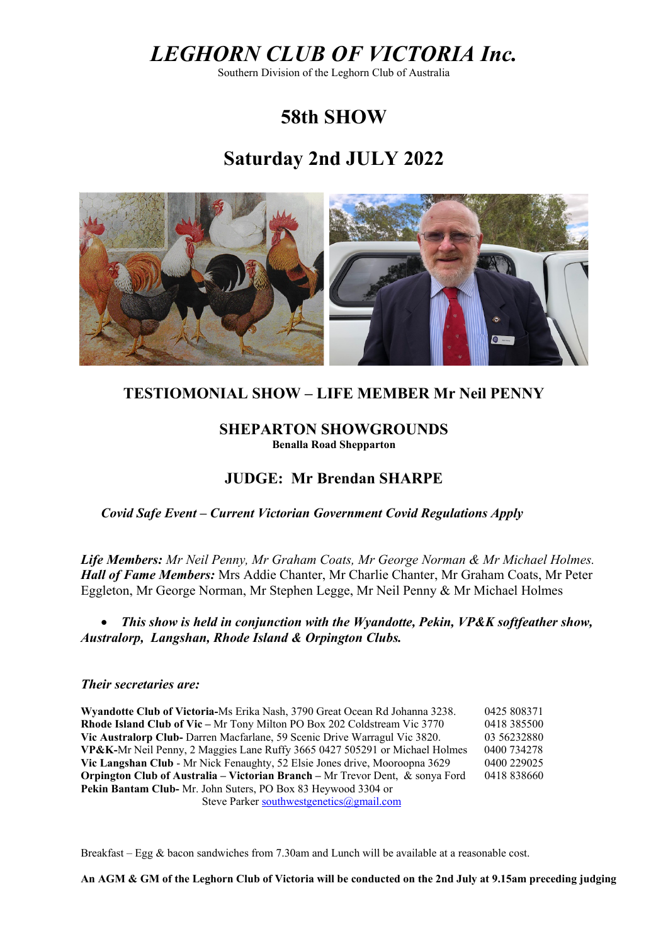# *LEGHORN CLUB OF VICTORIA Inc.*

Southern Division of the Leghorn Club of Australia

# **58th SHOW**

# **Saturday 2nd JULY 2022**



### **TESTIOMONIAL SHOW – LIFE MEMBER Mr Neil PENNY**

### **SHEPARTON SHOWGROUNDS**

**Benalla Road Shepparton**

## **JUDGE: Mr Brendan SHARPE**

 *Covid Safe Event – Current Victorian Government Covid Regulations Apply* 

*Life Members: Mr Neil Penny, Mr Graham Coats, Mr George Norman & Mr Michael Holmes. Hall of Fame Members:* Mrs Addie Chanter, Mr Charlie Chanter, Mr Graham Coats, Mr Peter Eggleton, Mr George Norman, Mr Stephen Legge, Mr Neil Penny & Mr Michael Holmes

• *This show is held in conjunction with the Wyandotte, Pekin, VP&K softfeather show, Australorp, Langshan, Rhode Island & Orpington Clubs.* 

### *Their secretaries are:*

**Wyandotte Club of Victoria-**Ms Erika Nash, 3790 Great Ocean Rd Johanna 3238. 0425 808371 **Rhode Island Club of Vic –** Mr Tony Milton PO Box 202 Coldstream Vic 3770 0418 385500 **Vic Australorp Club-** Darren Macfarlane, 59 Scenic Drive Warragul Vic 3820. 03 56232880 **VP&K-**Mr Neil Penny, 2 Maggies Lane Ruffy 3665 0427 505291 or Michael Holmes 0400 734278 **Vic Langshan Club** - Mr Nick Fenaughty, 52 Elsie Jones drive, Mooroopna 3629 0400 229025 **Orpington Club of Australia – Victorian Branch – Mr Trevor Dent, & sonya Ford** 0418 838660 **Pekin Bantam Club-** Mr. John Suters, PO Box 83 Heywood 3304 or Steve Parker [southwestgenetics@gmail.com](mailto:southwestgenetics@gmail.com)

Breakfast – Egg & bacon sandwiches from 7.30am and Lunch will be available at a reasonable cost.

**An AGM & GM of the Leghorn Club of Victoria will be conducted on the 2nd July at 9.15am preceding judging**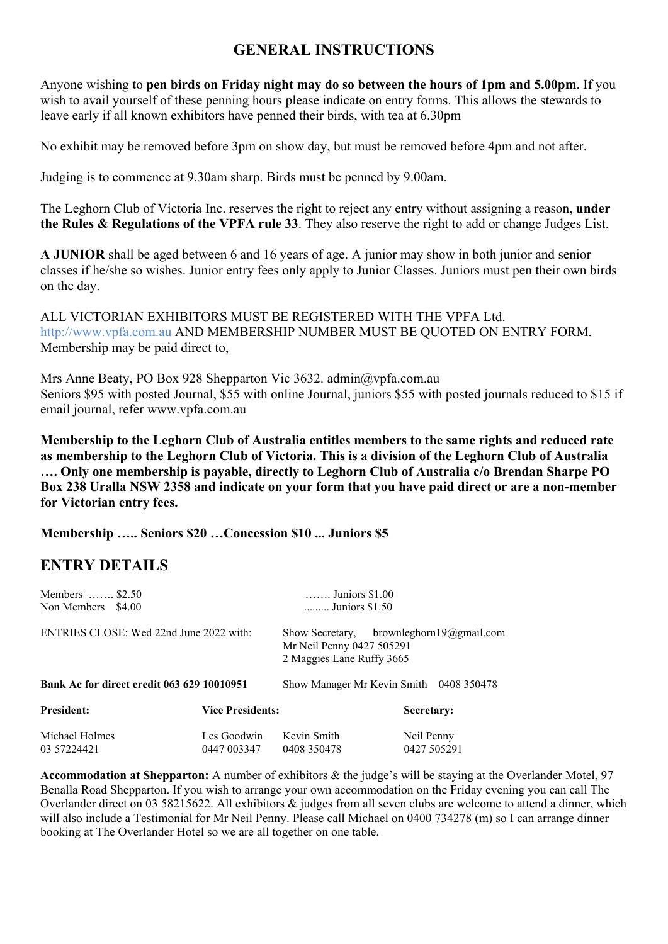## **GENERAL INSTRUCTIONS**

Anyone wishing to **pen birds on Friday night may do so between the hours of 1pm and 5.00pm**. If you wish to avail yourself of these penning hours please indicate on entry forms. This allows the stewards to leave early if all known exhibitors have penned their birds, with tea at 6.30pm

No exhibit may be removed before 3pm on show day, but must be removed before 4pm and not after.

Judging is to commence at 9.30am sharp. Birds must be penned by 9.00am.

The Leghorn Club of Victoria Inc. reserves the right to reject any entry without assigning a reason, **under the Rules & Regulations of the VPFA rule 33**. They also reserve the right to add or change Judges List.

**A JUNIOR** shall be aged between 6 and 16 years of age. A junior may show in both junior and senior classes if he/she so wishes. Junior entry fees only apply to Junior Classes. Juniors must pen their own birds on the day.

ALL VICTORIAN EXHIBITORS MUST BE REGISTERED WITH THE VPFA Ltd. http://www.vpfa.com.au AND MEMBERSHIP NUMBER MUST BE QUOTED ON ENTRY FORM. Membership may be paid direct to,

Mrs Anne Beaty, PO Box 928 Shepparton Vic 3632. admin@vpfa.com.au Seniors \$95 with posted Journal, \$55 with online Journal, juniors \$55 with posted journals reduced to \$15 if email journal, refer www.vpfa.com.au

**Membership to the Leghorn Club of Australia entitles members to the same rights and reduced rate as membership to the Leghorn Club of Victoria. This is a division of the Leghorn Club of Australia …. Only one membership is payable, directly to Leghorn Club of Australia c/o Brendan Sharpe PO Box 238 Uralla NSW 2358 and indicate on your form that you have paid direct or are a non-member for Victorian entry fees.**

**Membership ….. Seniors \$20 …Concession \$10 ... Juniors \$5** 

### **ENTRY DETAILS**

| Members $\dots \dots$ \$2.50<br>Non Members \$4.00 | $\ldots$ Juniors \$1.00<br>Juniors \$1.50                                                                   |                            |                           |  |
|----------------------------------------------------|-------------------------------------------------------------------------------------------------------------|----------------------------|---------------------------|--|
| ENTRIES CLOSE: Wed 22nd June 2022 with:            | Show Secretary, brownleghorn $19\omega$ gmail.com<br>Mr Neil Penny 0427 505291<br>2 Maggies Lane Ruffy 3665 |                            |                           |  |
| Bank Ac for direct credit 063 629 10010951         | Show Manager Mr Kevin Smith 0408 350478                                                                     |                            |                           |  |
| <b>President:</b>                                  | <b>Vice Presidents:</b>                                                                                     |                            | Secretary:                |  |
| Michael Holmes<br>03 57224421                      | Les Goodwin<br>0447 003347                                                                                  | Kevin Smith<br>0408 350478 | Neil Penny<br>0427 505291 |  |

**Accommodation at Shepparton:** A number of exhibitors & the judge's will be staying at the Overlander Motel, 97 Benalla Road Shepparton. If you wish to arrange your own accommodation on the Friday evening you can call The Overlander direct on 03 58215622. All exhibitors & judges from all seven clubs are welcome to attend a dinner, which will also include a Testimonial for Mr Neil Penny. Please call Michael on 0400 734278 (m) so I can arrange dinner booking at The Overlander Hotel so we are all together on one table.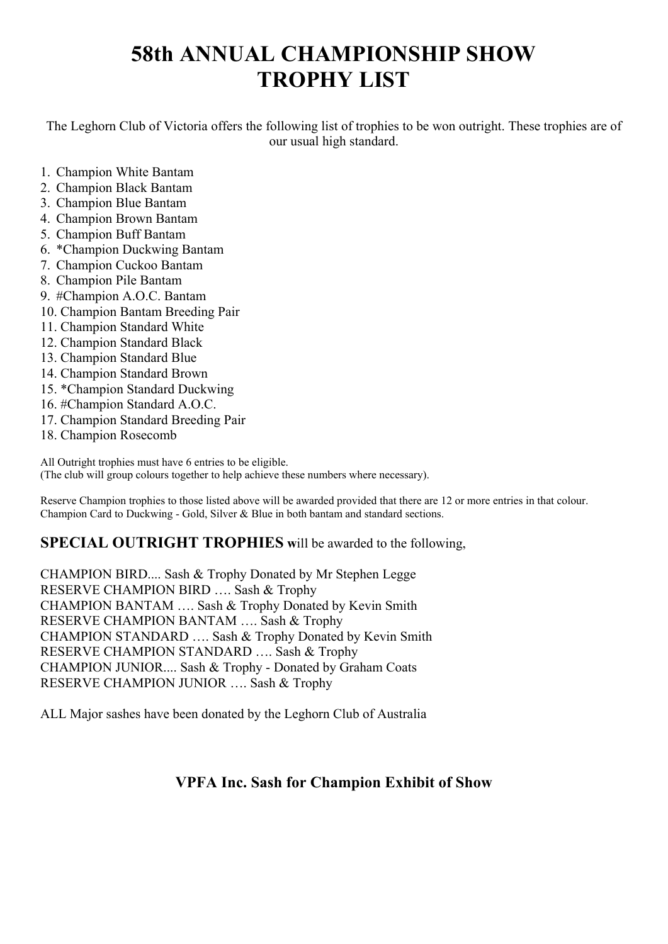# **58th ANNUAL CHAMPIONSHIP SHOW TROPHY LIST**

The Leghorn Club of Victoria offers the following list of trophies to be won outright. These trophies are of our usual high standard.

- 1. Champion White Bantam
- 2. Champion Black Bantam
- 3. Champion Blue Bantam
- 4. Champion Brown Bantam
- 5. Champion Buff Bantam
- 6. \*Champion Duckwing Bantam
- 7. Champion Cuckoo Bantam
- 8. Champion Pile Bantam
- 9. #Champion A.O.C. Bantam
- 10. Champion Bantam Breeding Pair
- 11. Champion Standard White
- 12. Champion Standard Black
- 13. Champion Standard Blue
- 14. Champion Standard Brown
- 15. \*Champion Standard Duckwing
- 16. #Champion Standard A.O.C.
- 17. Champion Standard Breeding Pair
- 18. Champion Rosecomb

All Outright trophies must have 6 entries to be eligible.

(The club will group colours together to help achieve these numbers where necessary).

Reserve Champion trophies to those listed above will be awarded provided that there are 12 or more entries in that colour. Champion Card to Duckwing - Gold, Silver & Blue in both bantam and standard sections.

### **SPECIAL OUTRIGHT TROPHIES w**ill be awarded to the following,

CHAMPION BIRD.... Sash & Trophy Donated by Mr Stephen Legge RESERVE CHAMPION BIRD …. Sash & Trophy CHAMPION BANTAM …. Sash & Trophy Donated by Kevin Smith RESERVE CHAMPION BANTAM …. Sash & Trophy CHAMPION STANDARD …. Sash & Trophy Donated by Kevin Smith RESERVE CHAMPION STANDARD …. Sash & Trophy CHAMPION JUNIOR.... Sash & Trophy - Donated by Graham Coats RESERVE CHAMPION JUNIOR …. Sash & Trophy

ALL Major sashes have been donated by the Leghorn Club of Australia

## **VPFA Inc. Sash for Champion Exhibit of Show**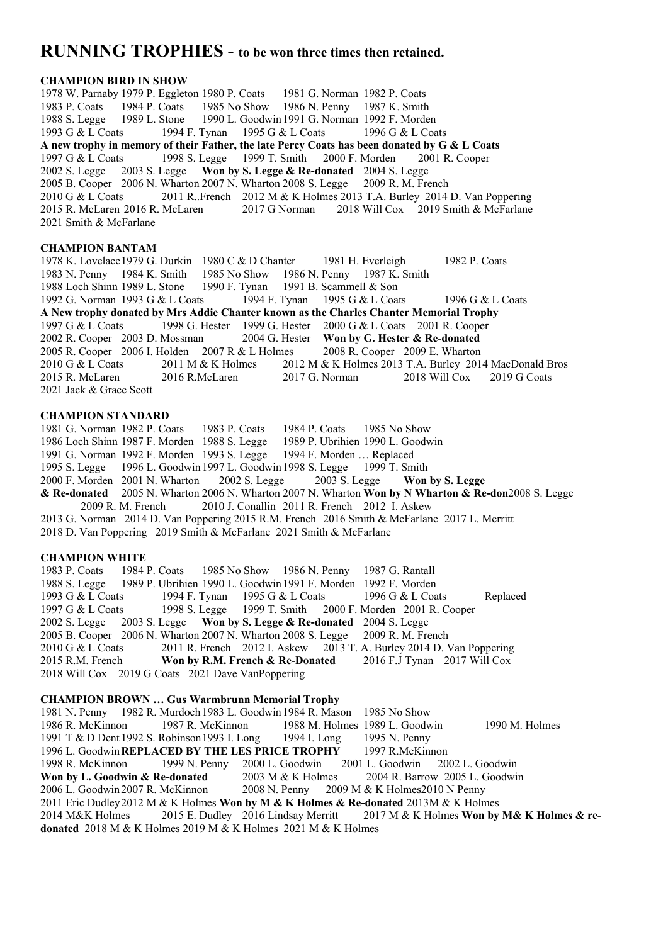### **RUNNING TROPHIES - to be won three times then retained.**

#### **CHAMPION BIRD IN SHOW**

1978 W. Parnaby 1979 P. Eggleton 1980 P. Coats 1981 G. Norman 1982 P. Coats 1983 P. Coats 1984 P. Coats 1985 No Show 1986 N. Penny 1987 K. Smith 1988 S. Legge 1989 L. Stone 1990 L. Goodwin1991 G. Norman 1992 F. Morden 1993 G & L Coats 1994 F. Tynan 1995 G & L Coats 1996 G & L Coats **A new trophy in memory of their Father, the late Percy Coats has been donated by G & L Coats** 1997 G & L Coats 1998 S. Legge 1999 T. Smith 2000 F. Morden 2001 R. Cooper 2002 S. Legge 2003 S. Legge **Won by S. Legge & Re-donated** 2004 S. Legge 2005 B. Cooper 2006 N. Wharton 2007 N. Wharton 2008 S. Legge 2010 G & L Coats 2011 R..French 2012 M & K Holmes 2013 T.A. Burley 2014 D. Van Poppering 2015 R. McLaren 2016 R. McLaren 2017 G Norman 2018 Will Cox 2019 Smith & McFarlane 2021 Smith & McFarlane

#### **CHAMPION BANTAM**

1978 K. Lovelace1979 G. Durkin 1980 C & D Chanter 1981 H. Everleigh 1982 P. Coats 1983 N. Penny 1984 K. Smith 1985 No Show 1986 N. Penny 1987 K. Smith 1988 Loch Shinn 1989 L. Stone 1990 F. Tynan 1991 B. Scammell & Son 1992 G. Norman 1993 G & L Coats 1994 F. Tynan 1995 G & L Coats 1996 G & L Coats **A New trophy donated by Mrs Addie Chanter known as the Charles Chanter Memorial Trophy** 1997 G & L Coats 1998 G. Hester 1999 G. Hester 2000 G & L Coats 2001 R. Cooper 2002 R. Cooper 2003 D. Mossman 2004 G. Hester **Won by G. Hester & Re-donated** 2005 R. Cooper 2006 I. Holden 2007 R & L Holmes 2008 R. Cooper 2009 E. Wharton 2005 R. Cooper 2006 I. Holden 2007 R & L Holmes 2010 G & L Coats 2011 M & K Holmes 2012 M & K Holmes 2013 T.A. Burley 2014 MacDonald Bros 2015 R. McLaren 2016 R.McLaren 2017 G. Norman 2018 Will Cox 2019 G Coats 2021 Jack & Grace Scott

#### **CHAMPION STANDARD**

1981 G. Norman 1982 P. Coats 1983 P. Coats 1984 P. Coats 1985 No Show 1986 Loch Shinn 1987 F. Morden 1988 S. Legge 1989 P. Ubrihien 1990 L. Goodwin 1991 G. Norman 1992 F. Morden 1993 S. Legge 1994 F. Morden ... Replaced 1991 G. Norman 1992 F. Morden 1993 S. Legge 1995 S. Legge 1996 L. Goodwin1997 L. Goodwin1998 S. Legge 1999 T. Smith 2000 F. Morden 2001 N. Wharton 2002 S. Legge 2003 S. Legge **Won by S. Legge & Re-donated** 2005 N. Wharton 2006 N. Wharton 2007 N. Wharton **Won by N Wharton & Re-don**2008 S. Legge 2009 R. M. French 2010 J. Conallin 2011 R. French 2012 I. Askew 2013 G. Norman 2014 D. Van Poppering 2015 R.M. French 2016 Smith & McFarlane 2017 L. Merritt 2018 D. Van Poppering 2019 Smith & McFarlane 2021 Smith & McFarlane

**CHAMPION WHITE**<br>1983 P. Coats 1984 P. Coats 1985 No Show 1986 N. Penny 1987 G. Rantall 1988 S. Legge 1989 P. Ubrihien 1990 L. Goodwin1991 F. Morden 1992 F. Morden 1993 G & L Coats 1994 F. Tynan 1995 G & L Coats 1996 G & L Coats Replaced<br>1997 G & L Coats 1998 S. Legge 1999 T. Smith 2000 F. Morden 2001 R. Cooper 2000 F. Morden 2001 R. Cooper 2002 S. Legge 2003 S. Legge **Won by S. Legge & Re-donated** 2004 S. Legge 2005 B. Cooper 2006 N. Wharton 2007 N. Wharton 2008 S. Legge 2009 R. M. French 2010 G & L Coats 2011 R. French 2012 I. Askew 2013 T. A. Burley 2014 D. V 2010 G & L Coats 2011 R. French 2012 I. Askew 2013 T. A. Burley 2014 D. Van Poppering 2015 R.M. French **Won by R.M. French & Re-Donated** 2016 F.J Tynan 2017 Will Cox 2018 Will Cox 2019 G Coats 2021 Dave VanPoppering

#### **CHAMPION BROWN … Gus Warmbrunn Memorial Trophy** 1981 N. Penny 1982 R. Murdoch 1983 L. Goodwin 1984 R. Mason 1985 No Show<br>1986 R. McKinnon 1987 R. McKinnon 1988 M. Holmes 1989 L. Goodw 1986 R. McKinnon 1987 R. McKinnon 1988 M. Holmes 1989 L. Goodwin 1990 M. Holmes 1991 T & D Dent 1992 S. Robinson1993 I. Long 1994 I. Long 1995 N. Penny 1996 L. Goodwin**REPLACED BY THE LES PRICE TROPHY** 1997 R.McKinnon 1998 R. McKinnon 1999 N. Penny 2000 L. Goodwin 2001 L. Goodwin 2002 L. Goodwin **Won by L. Goodwin & Re-donated** 2003 M & K Holmes 2004 R. Barrow 2005 L. Goodwin 2006 L. Goodwin2007 R. McKinnon 2008 N. Penny 2009 M & K Holmes2010 N Penny 2011 Eric Dudley2012 M & K Holmes **Won by M & K Holmes & Re-donated** 2013M & K Holmes 2014 M&K Holmes 2015 E. Dudley 2016 Lindsay Merritt 2017 M & K Holmes **Won by M& K Holmes & redonated** 2018 M & K Holmes 2019 M & K Holmes 2021 M & K Holmes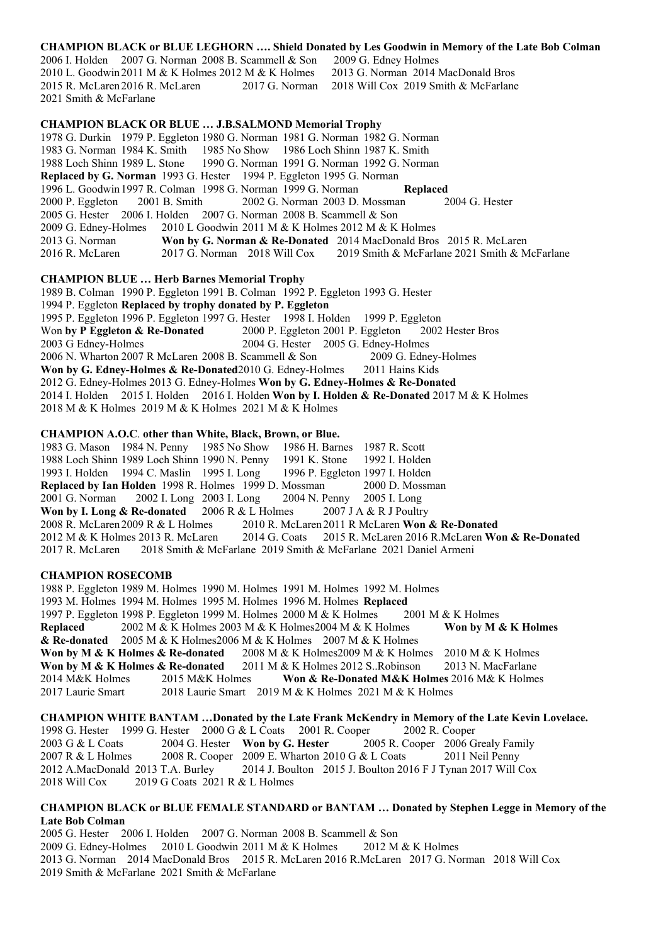#### **CHAMPION BLACK or BLUE LEGHORN …. Shield Donated by Les Goodwin in Memory of the Late Bob Colman**

2006 I. Holden 2007 G. Norman 2008 B. Scammell & Son 2009 G. Edney Holmes 2010 L. Goodwin2011 M & K Holmes 2012 M & K Holmes 2013 G. Norman 2014 MacDonald Bros 2015 R. McLaren2016 R. McLaren 2017 G. Norman 2018 Will Cox 2019 Smith & McFarlane 2021 Smith & McFarlane

#### **CHAMPION BLACK OR BLUE … J.B.SALMOND Memorial Trophy**

1978 G. Durkin 1979 P. Eggleton 1980 G. Norman 1981 G. Norman 1982 G. Norman 1983 G. Norman 1984 K. Smith 1985 No Show 1986 Loch Shinn 1987 K. Smith 1988 Loch Shinn 1989 L. Stone 1990 G. Norman 1991 G. Norman 1992 G. Norman **Replaced by G. Norman** 1993 G. Hester 1994 P. Eggleton 1995 G. Norman 1996 L. Goodwin1997 R. Colman 1998 G. Norman 1999 G. Norman **Replaced** 2000 P. Eggleton 2001 B. Smith 2002 G. Norman 2003 D. Mossman 2004 G. Hester 2005 G. Hester 2006 I. Holden 2007 G. Norman 2008 B. Scammell & Son 2009 G. Edney-Holmes 2010 L Goodwin 2011 M & K Holmes 2012 M & K 2010 L Goodwin 2011 M & K Holmes 2012 M & K Holmes 2013 G. Norman **Won by G. Norman & Re-Donated** 2014 MacDonald Bros 2015 R. McLaren 2016 R. McLaren 2017 G. Norman 2018 Will Cox 2019 Smith & McFarlane 2021 Smith & McFarlane

#### **CHAMPION BLUE … Herb Barnes Memorial Trophy**

1989 B. Colman 1990 P. Eggleton 1991 B. Colman 1992 P. Eggleton 1993 G. Hester 1994 P. Eggleton **Replaced by trophy donated by P. Eggleton** 1995 P. Eggleton 1996 P. Eggleton 1997 G. Hester 1998 I. Holden 1999 P. Eggleton Won **by P Eggleton & Re-Donated** 2000 P. Eggleton 2001 P. Eggleton 2002 Hester Bros<br>2003 G Edney-Holmes 2004 G. Hester 2005 G. Edney-Holmes 2003 G Edney-Holmes 2004 G. Hester 2005 G. Edney-Holmes 2006 N. Wharton 2007 R McLaren 2008 B. Scammell & Son 2009 G. Edney-Holmes Won by G. Edney-Holmes & Re-Donated<sup>2010</sup> G. Edney-Holmes 2011 Hains Kids 2012 G. Edney-Holmes 2013 G. Edney-Holmes **Won by G. Edney-Holmes & Re-Donated** 2014 I. Holden 2015 I. Holden 2016 I. Holden **Won by I. Holden & Re-Donated** 2017 M & K Holmes 2018 M & K Holmes 2019 M & K Holmes 2021 M & K Holmes

#### **CHAMPION A.O.C**. **other than White, Black, Brown, or Blue.**

1983 G. Mason 1984 N. Penny 1985 No Show 1986 H. Barnes 1987 R. Scott 1988 Loch Shinn 1989 Loch Shinn 1990 N. Penny 1991 K. Stone 1992 I. Holden 1988 Loch Shinn 1989 Loch Shinn 1990 N. Penny 1993 I. Holden 1994 C. Maslin 1995 I. Long 1996 P. Eggleton 1997 I. Holden **Replaced by Ian Holden** 1998 R. Holmes 1999 D. Mossman 2000 D. Mossman 2001 G. Norman 2002 I. Long 2003 I. Long 2004 N. Penny 2005 I. Long 2002 I. Long 2003 I. Long 2004 N. Penny 2005 I. Long<br>**Re-donated** 2006 R & L Holmes 2007 J A & R J Poultry **Won by I. Long & Re-donated** 2006 R & L Holmes 2008 R. McLaren 2009 R & L Holmes 2010 R. Mc 2008 R. McLaren 2009 R & L Holmes 2010 R. McLaren 2011 R McLaren Won & Re-Donated<br>2012 M & K Holmes 2013 R. McLaren 2014 G. Coats 2015 R. McLaren 2016 R. McLaren Wo 2014 G. Coats 2015 R. McLaren 2016 R.McLaren Won & Re-Donated 2017 R. McLaren 2018 Smith & McFarlane 2019 Smith & McFarlane 2021 Daniel Armeni

#### **CHAMPION ROSECOMB**

1988 P. Eggleton 1989 M. Holmes 1990 M. Holmes 1991 M. Holmes 1992 M. Holmes 1993 M. Holmes 1994 M. Holmes 1995 M. Holmes 1996 M. Holmes **Replaced** 1997 P. Eggleton 1998 P. Eggleton 1999 M. Holmes 2000 M & K Holmes 2001 M & K Holmes **Replaced** 2002 M & K Holmes 2003 M & K Holmes2004 M & K Holmes **Won by M & K Holmes & Re-donated** 2005 M & K Holmes2006 M & K Holmes 2007 M & K Holmes Won by M & K Holmes & Re-donated 2008 M & K Holmes2009 M & K Holmes 2010 M & K Holmes **Won by M & K Holmes & Re-donated** 2011 M & K Holmes 2012 S..Robinson 2013 N. MacFarlane 2014 M&K Holmes 2015 M&K Holmes **Won & Re-Donated M&K Holmes** 2016 M& K Holmes 2017 Laurie Smart 2018 Laurie Smart 2019 M & K Holmes 2021 M & K Holmes

**CHAMPION WHITE BANTAM …Donated by the Late Frank McKendry in Memory of the Late Kevin Lovelace.** 1998 G. Hester 1999 G. Hester 2000 G & L Coats 2001 R. Cooper 2003 G & L Coats 2004 G. Hester **Won by G. Hester** 2005 R. Cooper 2006 Grealy Family 2007 R & L Holmes 2008 R. Cooper 2009 E. Wharton 2010 G & L Coats 2011 Neil Penny 2012 A.MacDonald 2013 T.A. Burley 2014 J. Boulton 2015 J. Boulton 2016 F J Tynan 2017 Will Cox 2018 Will Cox 2019 G Coats 2021 R & L Holmes

#### **CHAMPION BLACK or BLUE FEMALE STANDARD or BANTAM … Donated by Stephen Legge in Memory of the Late Bob Colman**

2005 G. Hester 2006 I. Holden 2007 G. Norman 2008 B. Scammell & Son 2009 G. Edney-Holmes 2010 L Goodwin 2011 M & K Holmes 2012 M & K Holmes 2013 G. Norman 2014 MacDonald Bros 2015 R. McLaren 2016 R.McLaren 2017 G. Norman 2018 Will Cox 2019 Smith & McFarlane 2021 Smith & McFarlane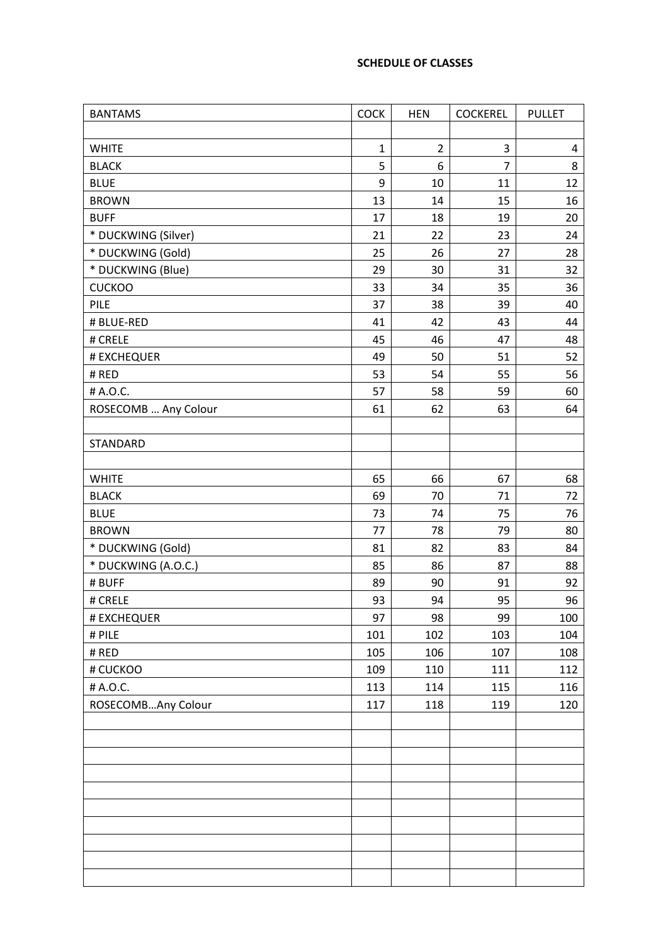#### **SCHEDULE OF CLASSES**

| <b>BANTAMS</b>       | <b>COCK</b>  | <b>HEN</b>     | <b>COCKEREL</b> | <b>PULLET</b> |
|----------------------|--------------|----------------|-----------------|---------------|
|                      |              |                |                 |               |
| <b>WHITE</b>         | $\mathbf{1}$ | $\overline{2}$ | 3               | 4             |
| <b>BLACK</b>         | 5            | 6              | $\overline{7}$  | 8             |
| <b>BLUE</b>          | 9            | 10             | 11              | 12            |
| <b>BROWN</b>         | 13           | 14             | 15              | 16            |
| <b>BUFF</b>          | 17           | 18             | 19              | 20            |
| * DUCKWING (Silver)  | 21           | 22             | 23              | 24            |
| * DUCKWING (Gold)    | 25           | 26             | 27              | 28            |
| * DUCKWING (Blue)    | 29           | 30             | 31              | 32            |
| <b>CUCKOO</b>        | 33           | 34             | 35              | 36            |
| PILE                 | 37           | 38             | 39              | 40            |
| # BLUE-RED           | 41           | 42             | 43              | 44            |
| # CRELE              | 45           | 46             | 47              | 48            |
| # EXCHEQUER          | 49           | 50             | 51              | 52            |
| # RED                | 53           | 54             | 55              | 56            |
| # A.O.C.             | 57           | 58             | 59              | 60            |
| ROSECOMB  Any Colour | 61           | 62             | 63              | 64            |
|                      |              |                |                 |               |
| STANDARD             |              |                |                 |               |
|                      |              |                |                 |               |
| <b>WHITE</b>         | 65           | 66             | 67              | 68            |
| <b>BLACK</b>         | 69           | 70             | 71              | 72            |
| <b>BLUE</b>          | 73           | 74             | 75              | 76            |
| <b>BROWN</b>         | 77           | 78             | 79              | 80            |
| * DUCKWING (Gold)    | 81           | 82             | 83              | 84            |
| * DUCKWING (A.O.C.)  | 85           | 86             | 87              | 88            |
| # BUFF               | 89           | 90             | 91              | 92            |
| # CRELE              | 93           | 94             | 95              | 96            |
| # EXCHEQUER          | 97           | 98             | 99              | 100           |
| # PILE               | 101          | 102            | 103             | 104           |
| # RED                | 105          | 106            | 107             | 108           |
| # CUCKOO             | 109          | 110            | 111             | 112           |
| # A.O.C.             | 113          | 114            | 115             | 116           |
| ROSECOMBAny Colour   | 117          | 118            | 119             | 120           |
|                      |              |                |                 |               |
|                      |              |                |                 |               |
|                      |              |                |                 |               |
|                      |              |                |                 |               |
|                      |              |                |                 |               |
|                      |              |                |                 |               |
|                      |              |                |                 |               |
|                      |              |                |                 |               |
|                      |              |                |                 |               |
|                      |              |                |                 |               |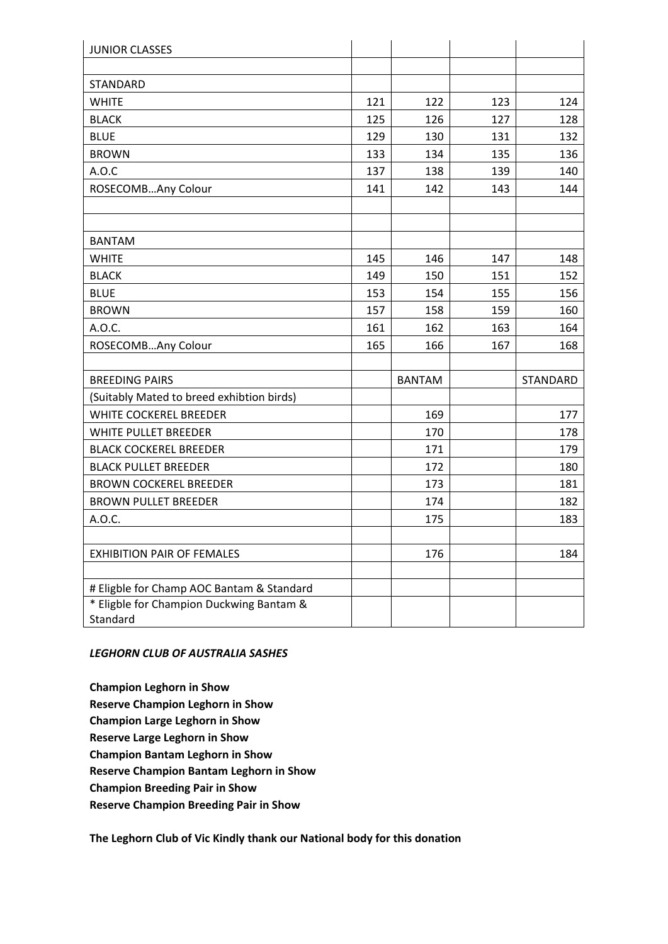| <b>JUNIOR CLASSES</b>                     |     |               |     |          |
|-------------------------------------------|-----|---------------|-----|----------|
|                                           |     |               |     |          |
| <b>STANDARD</b>                           |     |               |     |          |
| <b>WHITE</b>                              | 121 | 122           | 123 | 124      |
| <b>BLACK</b>                              | 125 | 126           | 127 | 128      |
| <b>BLUE</b>                               | 129 | 130           | 131 | 132      |
| <b>BROWN</b>                              | 133 | 134           | 135 | 136      |
| A.O.C                                     | 137 | 138           | 139 | 140      |
| ROSECOMBAny Colour                        | 141 | 142           | 143 | 144      |
|                                           |     |               |     |          |
|                                           |     |               |     |          |
| <b>BANTAM</b>                             |     |               |     |          |
| <b>WHITE</b>                              | 145 | 146           | 147 | 148      |
| <b>BLACK</b>                              | 149 | 150           | 151 | 152      |
| <b>BLUE</b>                               | 153 | 154           | 155 | 156      |
| <b>BROWN</b>                              | 157 | 158           | 159 | 160      |
| A.O.C.                                    | 161 | 162           | 163 | 164      |
| ROSECOMBAny Colour                        | 165 | 166           | 167 | 168      |
|                                           |     |               |     |          |
| <b>BREEDING PAIRS</b>                     |     | <b>BANTAM</b> |     | STANDARD |
| (Suitably Mated to breed exhibtion birds) |     |               |     |          |
| WHITE COCKEREL BREEDER                    |     | 169           |     | 177      |
| WHITE PULLET BREEDER                      |     | 170           |     | 178      |
| <b>BLACK COCKEREL BREEDER</b>             |     | 171           |     | 179      |
| <b>BLACK PULLET BREEDER</b>               |     | 172           |     | 180      |
| <b>BROWN COCKEREL BREEDER</b>             |     | 173           |     | 181      |
| <b>BROWN PULLET BREEDER</b>               |     | 174           |     | 182      |
| A.O.C.                                    |     | 175           |     | 183      |
|                                           |     |               |     |          |
| <b>EXHIBITION PAIR OF FEMALES</b>         |     | 176           |     | 184      |
|                                           |     |               |     |          |
| # Eligble for Champ AOC Bantam & Standard |     |               |     |          |
| * Eligble for Champion Duckwing Bantam &  |     |               |     |          |
| Standard                                  |     |               |     |          |

### *LEGHORN CLUB OF AUSTRALIA SASHES*

**Champion Leghorn in Show Reserve Champion Leghorn in Show Champion Large Leghorn in Show Reserve Large Leghorn in Show Champion Bantam Leghorn in Show Reserve Champion Bantam Leghorn in Show Champion Breeding Pair in Show Reserve Champion Breeding Pair in Show**

**The Leghorn Club of Vic Kindly thank our National body for this donation**